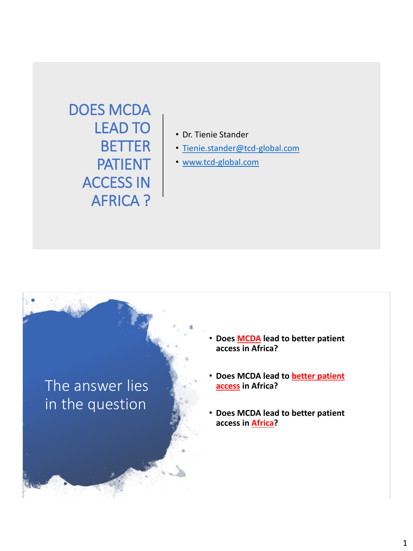DOES MCDA LEAD TO BETTER PATIENT ACCESS IN AFRICA ?

- Dr. Tienie Stander
- [Tienie.stander@tcd-global.com](mailto:Tienie.stander@tcd-global.com)
- [www.tcd-global.com](http://www.tcd-global.com/)

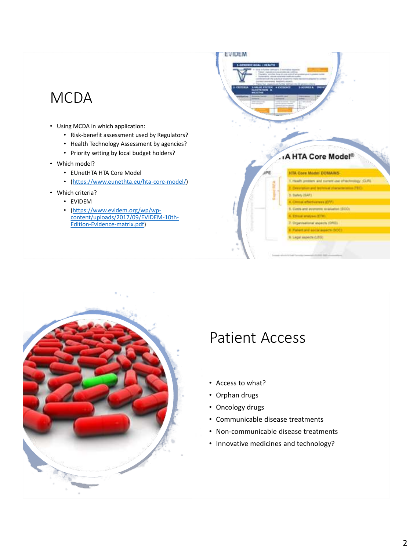## **MCDA**

- Using MCDA in which application:
	- Risk-benefit assessment used by Regulators?
	- Health Technology Assessment by agencies?
	- Priority setting by local budget holders?
- Which model?
	- EUnetHTA HTA Core Model
	- (<https://www.eunethta.eu/hta-core-model/>)
- Which criteria?
	- EVIDEM
		- (https://www.evidem.org/wp/wp[content/uploads/2017/09/EVIDEM-10th-](https://www.evidem.org/wp/wp-content/uploads/2017/09/EVIDEM-10th-Edition-Evidence-matrix.pdf)Edition-Evidence-matrix.pdf)





## Patient Access

- Access to what?
- Orphan drugs
- Oncology drugs
- Communicable disease treatments
- Non-communicable disease treatments
- Innovative medicines and technology?